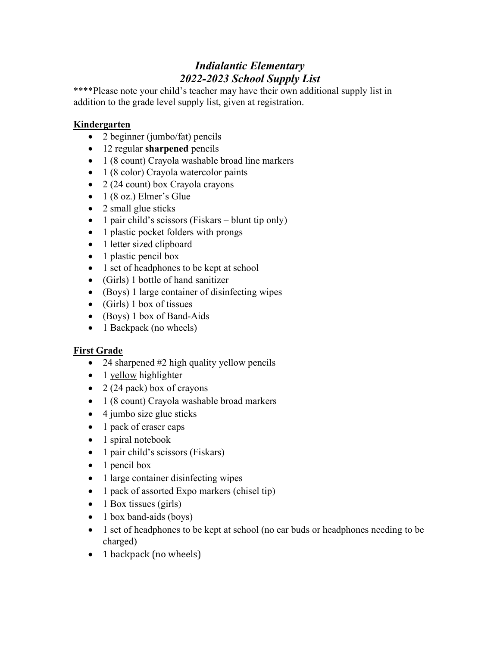\*\*\*\*Please note your child's teacher may have their own additional supply list in addition to the grade level supply list, given at registration.

### **Kindergarten**

- 2 beginner (jumbo/fat) pencils
- 12 regular sharpened pencils
- 1 (8 count) Crayola washable broad line markers
- 1 (8 color) Crayola watercolor paints
- 2 (24 count) box Crayola crayons
- $\bullet$  1 (8 oz.) Elmer's Glue
- 2 small glue sticks
- 1 pair child's scissors (Fiskars blunt tip only)
- 1 plastic pocket folders with prongs
- 1 letter sized clipboard
- 1 plastic pencil box
- 1 set of headphones to be kept at school
- (Girls) 1 bottle of hand sanitizer
- (Boys) 1 large container of disinfecting wipes
- $\bullet$  (Girls) 1 box of tissues
- (Boys) 1 box of Band-Aids
- 1 Backpack (no wheels)

### First Grade

- 24 sharpened #2 high quality yellow pencils
- 1 yellow highlighter
- $\bullet$  2 (24 pack) box of crayons
- 1 (8 count) Crayola washable broad markers
- $\bullet$  4 jumbo size glue sticks
- 1 pack of eraser caps
- 1 spiral notebook
- 1 pair child's scissors (Fiskars)
- $\bullet$  1 pencil box
- 1 large container disinfecting wipes
- 1 pack of assorted Expo markers (chisel tip)
- $\bullet$  1 Box tissues (girls)
- 1 box band-aids (boys)
- 1 set of headphones to be kept at school (no ear buds or headphones needing to be charged)
- 1 backpack (no wheels)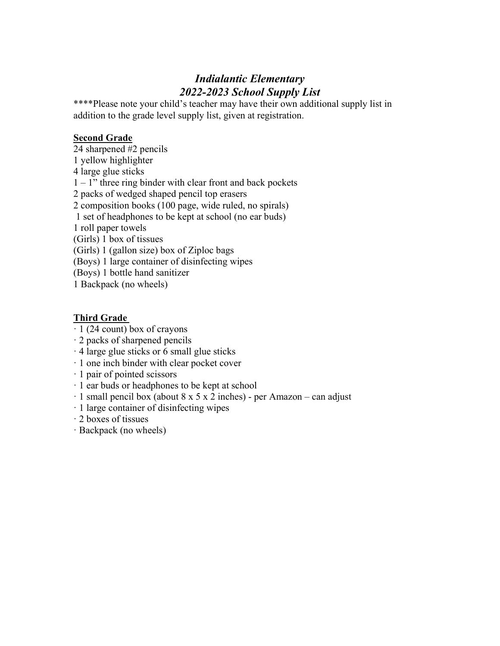\*\*\*\*Please note your child's teacher may have their own additional supply list in addition to the grade level supply list, given at registration.

#### Second Grade

24 sharpened #2 pencils 1 yellow highlighter 4 large glue sticks  $1 - 1$ " three ring binder with clear front and back pockets 2 packs of wedged shaped pencil top erasers 2 composition books (100 page, wide ruled, no spirals) 1 set of headphones to be kept at school (no ear buds) 1 roll paper towels (Girls) 1 box of tissues (Girls) 1 (gallon size) box of Ziploc bags (Boys) 1 large container of disinfecting wipes (Boys) 1 bottle hand sanitizer

1 Backpack (no wheels)

#### Third Grade

- $\cdot$  1 (24 count) box of crayons
- · 2 packs of sharpened pencils
- · 4 large glue sticks or 6 small glue sticks
- · 1 one inch binder with clear pocket cover
- · 1 pair of pointed scissors
- · 1 ear buds or headphones to be kept at school
- $\cdot$  1 small pencil box (about 8 x 5 x 2 inches) per Amazon can adjust
- · 1 large container of disinfecting wipes
- · 2 boxes of tissues
- · Backpack (no wheels)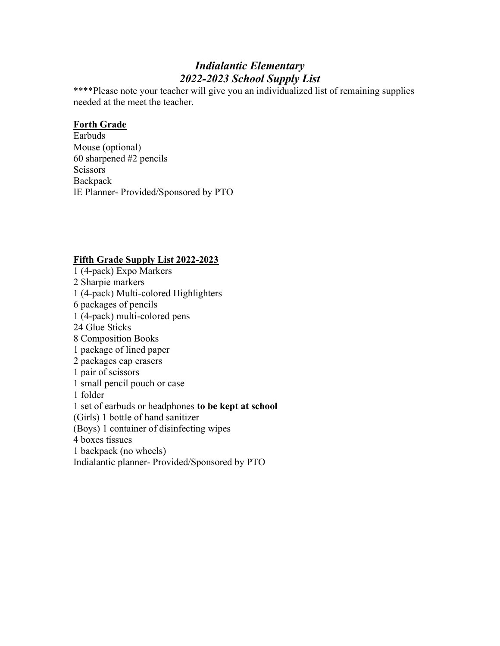\*\*\*\*Please note your teacher will give you an individualized list of remaining supplies needed at the meet the teacher.

#### Forth Grade

Earbuds Mouse (optional) 60 sharpened #2 pencils Scissors **Backpack** IE Planner- Provided/Sponsored by PTO

### Fifth Grade Supply List 2022-2023

1 (4-pack) Expo Markers 2 Sharpie markers 1 (4-pack) Multi-colored Highlighters 6 packages of pencils 1 (4-pack) multi-colored pens 24 Glue Sticks 8 Composition Books 1 package of lined paper 2 packages cap erasers 1 pair of scissors 1 small pencil pouch or case 1 folder 1 set of earbuds or headphones to be kept at school (Girls) 1 bottle of hand sanitizer (Boys) 1 container of disinfecting wipes 4 boxes tissues 1 backpack (no wheels) Indialantic planner- Provided/Sponsored by PTO